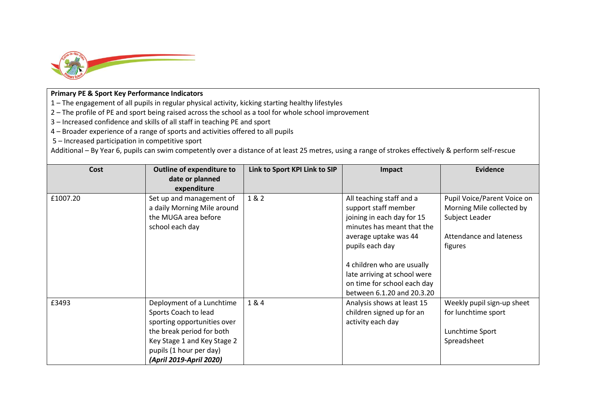

## **Primary PE & Sport Key Performance Indicators**

1 – The engagement of all pupils in regular physical activity, kicking starting healthy lifestyles

2 – The profile of PE and sport being raised across the school as a tool for whole school improvement

3 – Increased confidence and skills of all staff in teaching PE and sport

4 – Broader experience of a range of sports and activities offered to all pupils

5 – Increased participation in competitive sport

Additional – By Year 6, pupils can swim competently over a distance of at least 25 metres, using a range of strokes effectively & perform self-rescue

| Cost     | <b>Outline of expenditure to</b><br>date or planned<br>expenditure                                                                                                                                 | Link to Sport KPI Link to SIP | Impact                                                                                                                                                                                                                                                                              | <b>Evidence</b>                                                                                                  |
|----------|----------------------------------------------------------------------------------------------------------------------------------------------------------------------------------------------------|-------------------------------|-------------------------------------------------------------------------------------------------------------------------------------------------------------------------------------------------------------------------------------------------------------------------------------|------------------------------------------------------------------------------------------------------------------|
| £1007.20 | Set up and management of<br>a daily Morning Mile around<br>the MUGA area before<br>school each day                                                                                                 | 1 & 2                         | All teaching staff and a<br>support staff member<br>joining in each day for 15<br>minutes has meant that the<br>average uptake was 44<br>pupils each day<br>4 children who are usually<br>late arriving at school were<br>on time for school each day<br>between 6.1.20 and 20.3.20 | Pupil Voice/Parent Voice on<br>Morning Mile collected by<br>Subject Leader<br>Attendance and lateness<br>figures |
| £3493    | Deployment of a Lunchtime<br>Sports Coach to lead<br>sporting opportunities over<br>the break period for both<br>Key Stage 1 and Key Stage 2<br>pupils (1 hour per day)<br>(April 2019-April 2020) | 1&4                           | Analysis shows at least 15<br>children signed up for an<br>activity each day                                                                                                                                                                                                        | Weekly pupil sign-up sheet<br>for lunchtime sport<br>Lunchtime Sport<br>Spreadsheet                              |